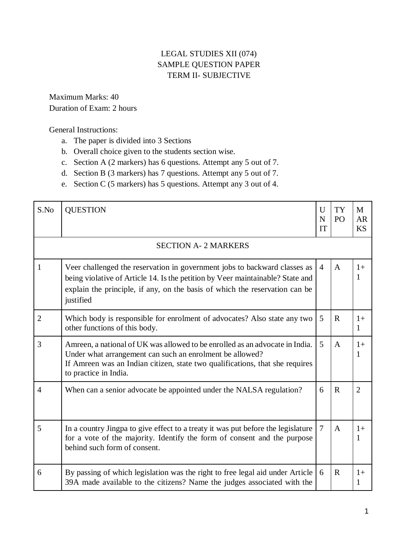## LEGAL STUDIES XII (074) SAMPLE QUESTION PAPER TERM II- SUBJECTIVE

Maximum Marks: 40 Duration of Exam: 2 hours

General Instructions:

- a. The paper is divided into 3 Sections
- b. Overall choice given to the students section wise.
- c. Section A (2 markers) has 6 questions. Attempt any 5 out of 7.
- d. Section B (3 markers) has 7 questions. Attempt any 5 out of 7.
- e. Section C (5 markers) has 5 questions. Attempt any 3 out of 4.

| S.No           | <b>QUESTION</b>                                                                                                                                                                                                                                         | U<br>N<br>IT   | <b>TY</b><br>P <sub>O</sub> | M<br><b>AR</b><br><b>KS</b> |
|----------------|---------------------------------------------------------------------------------------------------------------------------------------------------------------------------------------------------------------------------------------------------------|----------------|-----------------------------|-----------------------------|
|                | <b>SECTION A- 2 MARKERS</b>                                                                                                                                                                                                                             |                |                             |                             |
| 1              | Veer challenged the reservation in government jobs to backward classes as<br>being violative of Article 14. Is the petition by Veer maintainable? State and<br>explain the principle, if any, on the basis of which the reservation can be<br>justified | $\overline{4}$ | $\mathbf{A}$                | $1+$<br>1                   |
| $\overline{2}$ | Which body is responsible for enrolment of advocates? Also state any two<br>other functions of this body.                                                                                                                                               | 5              | $\mathbf{R}$                | $1+$<br>1                   |
| 3              | Amreen, a national of UK was allowed to be enrolled as an advocate in India.<br>Under what arrangement can such an enrolment be allowed?<br>If Amreen was an Indian citizen, state two qualifications, that she requires<br>to practice in India.       | 5              | $\mathbf{A}$                | $1+$<br>1                   |
| $\overline{4}$ | When can a senior advocate be appointed under the NALSA regulation?                                                                                                                                                                                     | 6              | $\mathbf R$                 | $\overline{2}$              |
| 5              | In a country Jingpa to give effect to a treaty it was put before the legislature<br>for a vote of the majority. Identify the form of consent and the purpose<br>behind such form of consent.                                                            | 7              | $\mathbf{A}$                | $1+$<br>1                   |
| 6              | By passing of which legislation was the right to free legal aid under Article<br>39A made available to the citizens? Name the judges associated with the                                                                                                | 6              | $\mathbf{R}$                | $1+$<br>1                   |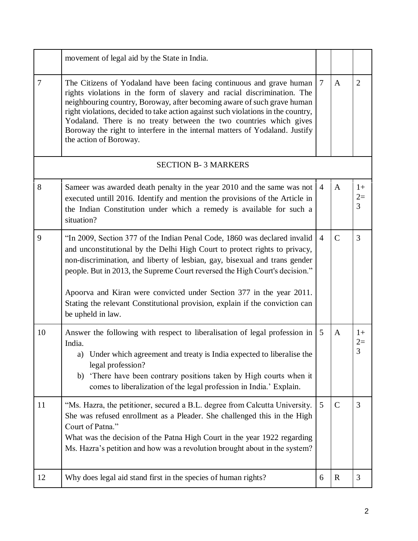|        | movement of legal aid by the State in India.                                                                                                                                                                                                                                                                                                                                                                                                                                                      |                |               |                   |
|--------|---------------------------------------------------------------------------------------------------------------------------------------------------------------------------------------------------------------------------------------------------------------------------------------------------------------------------------------------------------------------------------------------------------------------------------------------------------------------------------------------------|----------------|---------------|-------------------|
| $\tau$ | The Citizens of Yodaland have been facing continuous and grave human<br>rights violations in the form of slavery and racial discrimination. The<br>neighbouring country, Boroway, after becoming aware of such grave human<br>right violations, decided to take action against such violations in the country,<br>Yodaland. There is no treaty between the two countries which gives<br>Boroway the right to interfere in the internal matters of Yodaland. Justify<br>the action of Boroway.     | $\tau$         | $\mathbf{A}$  | $\overline{2}$    |
|        | <b>SECTION B-3 MARKERS</b>                                                                                                                                                                                                                                                                                                                                                                                                                                                                        |                |               |                   |
| 8      | Sameer was awarded death penalty in the year 2010 and the same was not<br>executed untill 2016. Identify and mention the provisions of the Article in<br>the Indian Constitution under which a remedy is available for such a<br>situation?                                                                                                                                                                                                                                                       | $\overline{4}$ | $\mathbf{A}$  | $1+$<br>$2=$<br>3 |
| 9      | "In 2009, Section 377 of the Indian Penal Code, 1860 was declared invalid<br>and unconstitutional by the Delhi High Court to protect rights to privacy,<br>non-discrimination, and liberty of lesbian, gay, bisexual and trans gender<br>people. But in 2013, the Supreme Court reversed the High Court's decision."<br>Apoorva and Kiran were convicted under Section 377 in the year 2011.<br>Stating the relevant Constitutional provision, explain if the conviction can<br>be upheld in law. | $\overline{4}$ | $\mathcal{C}$ | 3                 |
| 10     | Answer the following with respect to liberalisation of legal profession in<br>India.<br>a) Under which agreement and treaty is India expected to liberalise the<br>legal profession?<br>b) 'There have been contrary positions taken by High courts when it<br>comes to liberalization of the legal profession in India.' Explain.                                                                                                                                                                | 5              | A             | $1+$              |
| 11     | "Ms. Hazra, the petitioner, secured a B.L. degree from Calcutta University.<br>She was refused enrollment as a Pleader. She challenged this in the High<br>Court of Patna."<br>What was the decision of the Patna High Court in the year 1922 regarding<br>Ms. Hazra's petition and how was a revolution brought about in the system?                                                                                                                                                             | 5              | $\mathcal{C}$ | 3                 |
| 12     | Why does legal aid stand first in the species of human rights?                                                                                                                                                                                                                                                                                                                                                                                                                                    | 6              | $\mathbf R$   | 3                 |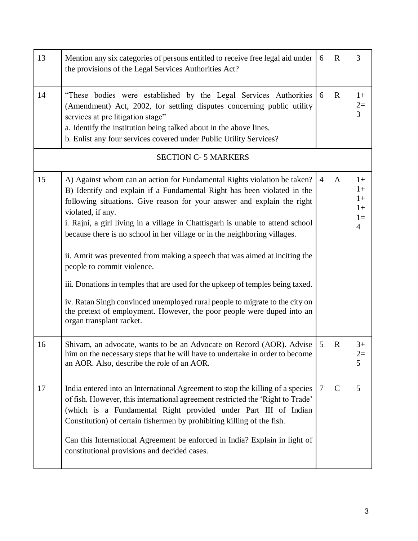| 13 | Mention any six categories of persons entitled to receive free legal aid under<br>the provisions of the Legal Services Authorities Act?                                                                                                                                                                                                                                                                                                                                                                                                                                                                                                                                                                                                                                                                | 6              | $\mathbf R$   | $\overline{3}$                                         |
|----|--------------------------------------------------------------------------------------------------------------------------------------------------------------------------------------------------------------------------------------------------------------------------------------------------------------------------------------------------------------------------------------------------------------------------------------------------------------------------------------------------------------------------------------------------------------------------------------------------------------------------------------------------------------------------------------------------------------------------------------------------------------------------------------------------------|----------------|---------------|--------------------------------------------------------|
| 14 | "These bodies were established by the Legal Services Authorities<br>(Amendment) Act, 2002, for settling disputes concerning public utility<br>services at pre litigation stage"<br>a. Identify the institution being talked about in the above lines.<br>b. Enlist any four services covered under Public Utility Services?                                                                                                                                                                                                                                                                                                                                                                                                                                                                            | 6              | $\mathbf R$   | $1+$<br>$2=$<br>$\overline{3}$                         |
|    | <b>SECTION C-5 MARKERS</b>                                                                                                                                                                                                                                                                                                                                                                                                                                                                                                                                                                                                                                                                                                                                                                             |                |               |                                                        |
| 15 | A) Against whom can an action for Fundamental Rights violation be taken?<br>B) Identify and explain if a Fundamental Right has been violated in the<br>following situations. Give reason for your answer and explain the right<br>violated, if any.<br>i. Rajni, a girl living in a village in Chattisgarh is unable to attend school<br>because there is no school in her village or in the neighboring villages.<br>ii. Amrit was prevented from making a speech that was aimed at inciting the<br>people to commit violence.<br>iii. Donations in temples that are used for the upkeep of temples being taxed.<br>iv. Ratan Singh convinced unemployed rural people to migrate to the city on<br>the pretext of employment. However, the poor people were duped into an<br>organ transplant racket. | $\overline{4}$ | $\mathbf{A}$  | $1+$<br>$1+$<br>$1+$<br>$1+$<br>$1=$<br>$\overline{4}$ |
| 16 | Shivam, an advocate, wants to be an Advocate on Record (AOR). Advise<br>him on the necessary steps that he will have to undertake in order to become<br>an AOR. Also, describe the role of an AOR.                                                                                                                                                                                                                                                                                                                                                                                                                                                                                                                                                                                                     | 5              | $\mathbf R$   | $3+$<br>$2=$<br>5                                      |
| 17 | India entered into an International Agreement to stop the killing of a species<br>of fish. However, this international agreement restricted the 'Right to Trade'<br>(which is a Fundamental Right provided under Part III of Indian<br>Constitution) of certain fishermen by prohibiting killing of the fish.<br>Can this International Agreement be enforced in India? Explain in light of<br>constitutional provisions and decided cases.                                                                                                                                                                                                                                                                                                                                                            | $\overline{7}$ | $\mathcal{C}$ | 5                                                      |